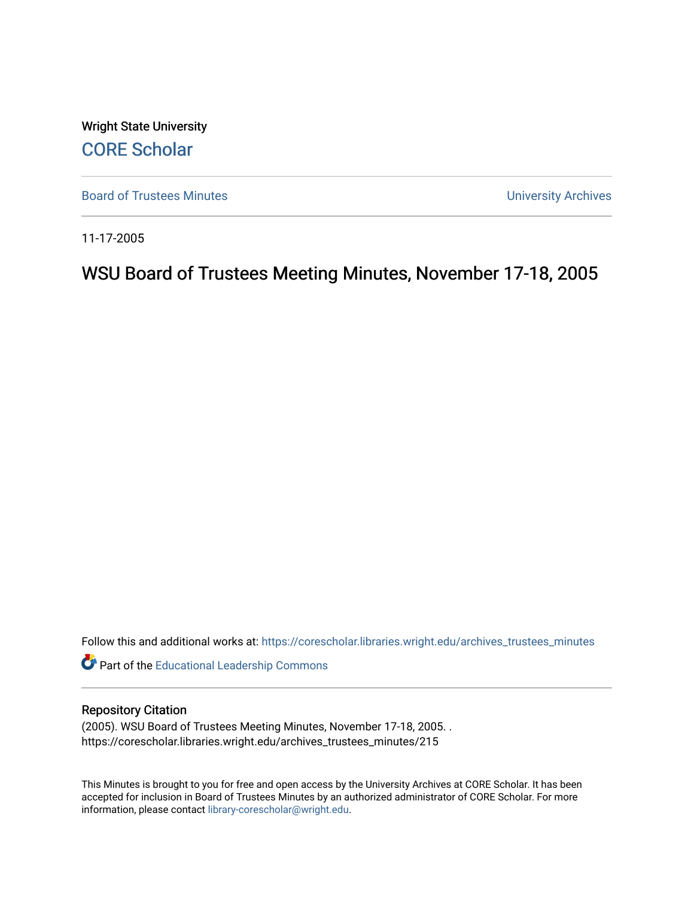Wright State University [CORE Scholar](https://corescholar.libraries.wright.edu/)

[Board of Trustees Minutes](https://corescholar.libraries.wright.edu/archives_trustees_minutes) **Exercise 2018** Solution 2018 10:30 Minutes University Archives

11-17-2005

# WSU Board of Trustees Meeting Minutes, November 17-18, 2005

Follow this and additional works at: [https://corescholar.libraries.wright.edu/archives\\_trustees\\_minutes](https://corescholar.libraries.wright.edu/archives_trustees_minutes?utm_source=corescholar.libraries.wright.edu%2Farchives_trustees_minutes%2F215&utm_medium=PDF&utm_campaign=PDFCoverPages) 

Part of the [Educational Leadership Commons](http://network.bepress.com/hgg/discipline/1230?utm_source=corescholar.libraries.wright.edu%2Farchives_trustees_minutes%2F215&utm_medium=PDF&utm_campaign=PDFCoverPages) 

#### Repository Citation

(2005). WSU Board of Trustees Meeting Minutes, November 17-18, 2005. . https://corescholar.libraries.wright.edu/archives\_trustees\_minutes/215

This Minutes is brought to you for free and open access by the University Archives at CORE Scholar. It has been accepted for inclusion in Board of Trustees Minutes by an authorized administrator of CORE Scholar. For more information, please contact [library-corescholar@wright.edu.](mailto:library-corescholar@wright.edu)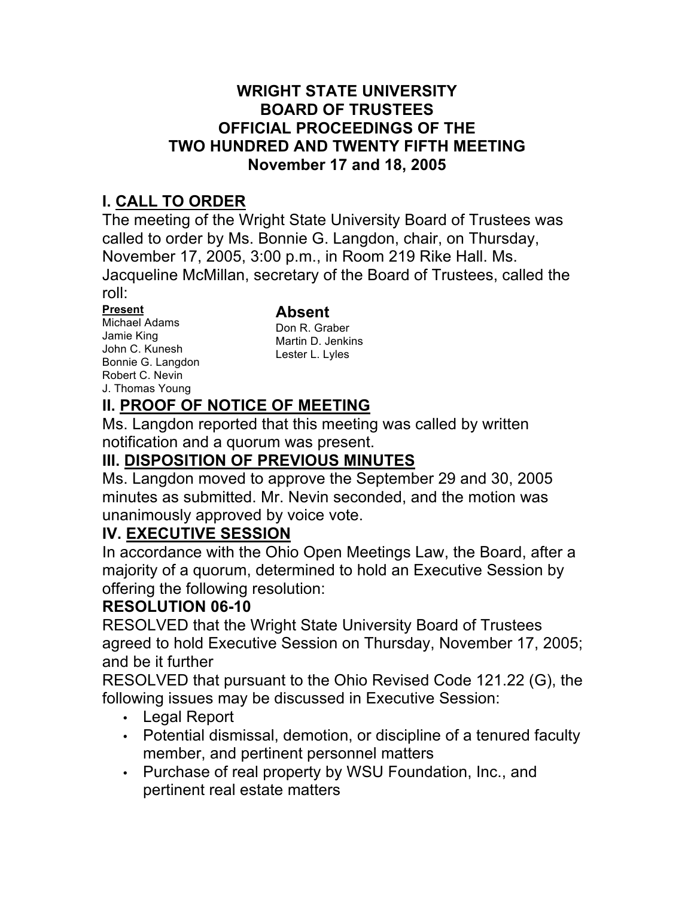## **WRIGHT STATE UNIVERSITY OFFICIAL PROCEEDINGS OF THE TWO HUNDRED AND TWENTY FIFTH MEETING November 17 and 18, 2005 BOARD OF TRUSTEES**

## **I. CALL TO ORDER**

 The meeting of the Wright State University Board of Trustees was called to order by Ms. Bonnie G. Langdon, chair, on Thursday, November 17, 2005, 3:00 p.m., in Room 219 Rike Hall. Ms. Jacqueline McMillan, secretary of the Board of Trustees, called the roll:

John C. Kunesh Bonnie G. Langdon Robert C. Nevin **Present Absent**<br>Michael Adams **Absent** Michael Adams Don R. Graber<br>
Jamie King Martin D. Jenkins<br>
John C. Kunesh Lester L. Lyles<br>
Bonnie G. Langdon J. Thomas Young

Don R. Graber Martin D. Jenkins Lester L. Lyles

# **II. PROOF OF NOTICE OF MEETING**

 Ms. Langdon reported that this meeting was called by written notification and a quorum was present.

# **III. DISPOSITION OF PREVIOUS MINUTES**

 Ms. Langdon moved to approve the September 29 and 30, 2005 minutes as submitted. Mr. Nevin seconded, and the motion was unanimously approved by voice vote.

## **IV. EXECUTIVE SESSION**

 majority of a quorum, determined to hold an Executive Session by In accordance with the Ohio Open Meetings Law, the Board, after a offering the following resolution:

## **RESOLUTION 06-10**

 agreed to hold Executive Session on Thursday, November 17, 2005; RESOLVED that the Wright State University Board of Trustees and be it further

 RESOLVED that pursuant to the Ohio Revised Code 121.22 (G), the following issues may be discussed in Executive Session:

- Legal Report
- • Potential dismissal, demotion, or discipline of a tenured faculty member, and pertinent personnel matters
- • Purchase of real property by WSU Foundation, Inc., and pertinent real estate matters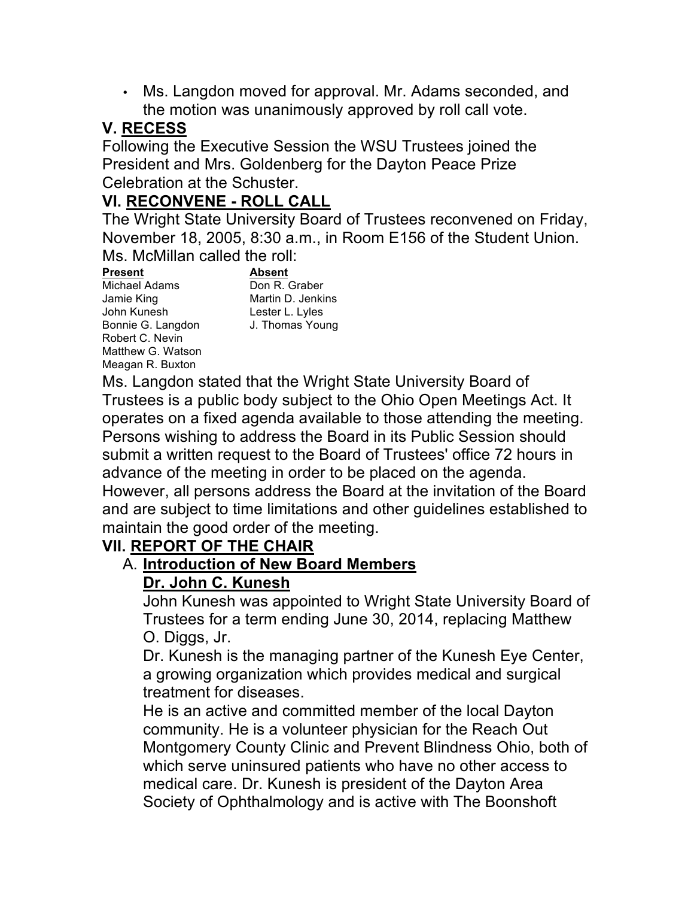• Ms. Langdon moved for approval. Mr. Adams seconded, and the motion was unanimously approved by roll call vote.

## **V. RECESS**

 Following the Executive Session the WSU Trustees joined the President and Mrs. Goldenberg for the Dayton Peace Prize Celebration at the Schuster.

## **VI. RECONVENE - ROLL CALL**

 The Wright State University Board of Trustees reconvened on Friday, November 18, 2005, 8:30 a.m., in Room E156 of the Student Union. Ms. McMillan called the roll:

Bonnie G. Langdon J. Thomas Young Robert C. Nevin Matthew G. Watson Meagan R. Buxton Jamie King **Martin D. Jenkins**  John Kunesh Lester L. Lyles **Present Absent**  Michael Adams

Don R. Graber

 Ms. Langdon stated that the Wright State University Board of Trustees is a public body subject to the Ohio Open Meetings Act. It Persons wishing to address the Board in its Public Session should submit a written request to the Board of Trustees' office 72 hours in However, all persons address the Board at the invitation of the Board maintain the good order of the meeting. operates on a fixed agenda available to those attending the meeting. advance of the meeting in order to be placed on the agenda. and are subject to time limitations and other guidelines established to

# **VII. REPORT OF THE CHAIR**

### **Dr. John C. Kunesh**  A. **Introduction of New Board Members**

 John Kunesh was appointed to Wright State University Board of Trustees for a term ending June 30, 2014, replacing Matthew O. Diggs, Jr.

 Dr. Kunesh is the managing partner of the Kunesh Eye Center, a growing organization which provides medical and surgical treatment for diseases.

 He is an active and committed member of the local Dayton Montgomery County Clinic and Prevent Blindness Ohio, both of which serve uninsured patients who have no other access to medical care. Dr. Kunesh is president of the Dayton Area Society of Ophthalmology and is active with The Boonshoft community. He is a volunteer physician for the Reach Out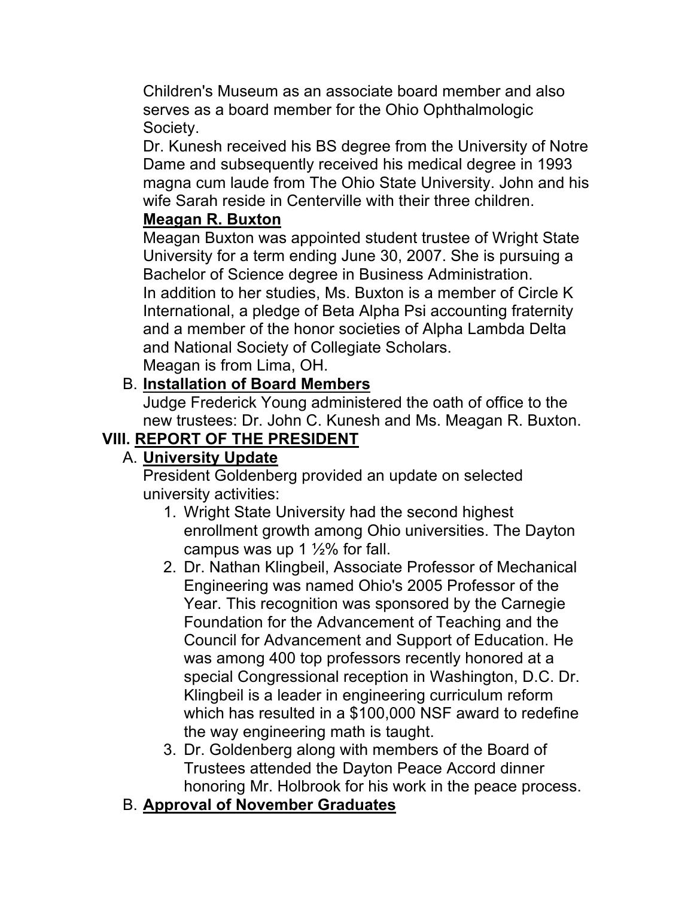Children's Museum as an associate board member and also serves as a board member for the Ohio Ophthalmologic Society.

 Dr. Kunesh received his BS degree from the University of Notre Dame and subsequently received his medical degree in 1993 wife Sarah reside in Centerville with their three children. magna cum laude from The Ohio State University. John and his

## **Meagan R. Buxton**

 Meagan Buxton was appointed student trustee of Wright State University for a term ending June 30, 2007. She is pursuing a and a member of the honor societies of Alpha Lambda Delta and National Society of Collegiate Scholars. Meagan is from Lima, OH. Bachelor of Science degree in Business Administration. In addition to her studies, Ms. Buxton is a member of Circle K International, a pledge of Beta Alpha Psi accounting fraternity

B. **Installation of Board Members** 

 new trustees: Dr. John C. Kunesh and Ms. Meagan R. Buxton. Judge Frederick Young administered the oath of office to the

# **VIII. REPORT OF THE PRESIDENT**

## A. **University Update**

President Goldenberg provided an update on selected university activities:

- 1. Wright State University had the second highest campus was up 1  $\frac{1}{2}$ % for fall. enrollment growth among Ohio universities. The Dayton
- 2. Dr. Nathan Klingbeil, Associate Professor of Mechanical Engineering was named Ohio's 2005 Professor of the Year. This recognition was sponsored by the Carnegie Foundation for the Advancement of Teaching and the Council for Advancement and Support of Education. He was among 400 top professors recently honored at a Klingbeil is a leader in engineering curriculum reform which has resulted in a \$100,000 NSF award to redefine special Congressional reception in Washington, D.C. Dr. the way engineering math is taught.
- 3. Dr. Goldenberg along with members of the Board of Trustees attended the Dayton Peace Accord dinner honoring Mr. Holbrook for his work in the peace process.
- B. **Approval of November Graduates**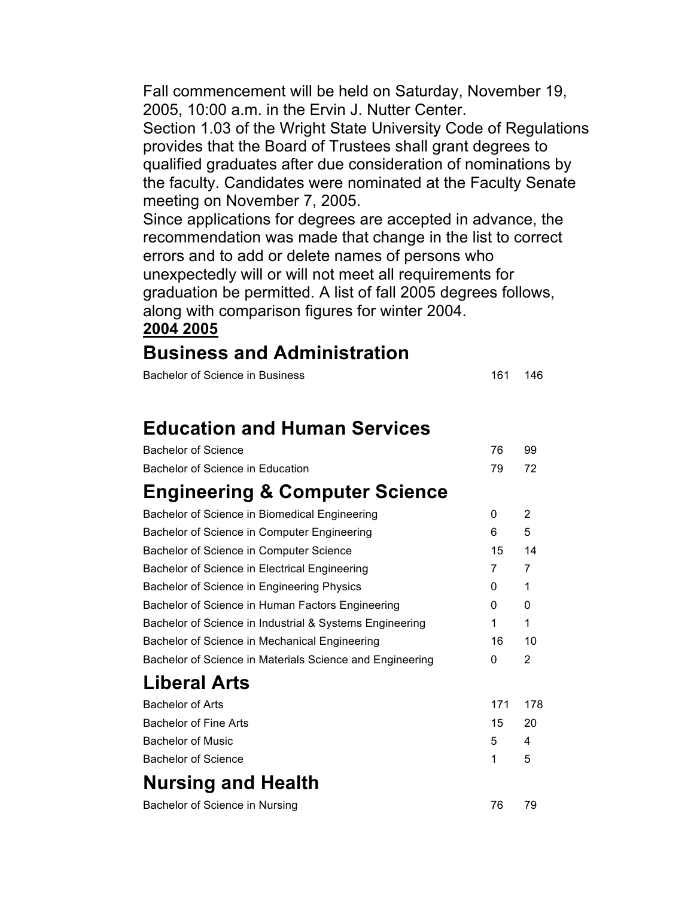Fall commencement will be held on Saturday, November 19, 2005, 10:00 a.m. in the Ervin J. Nutter Center.

 Section 1.03 of the Wright State University Code of Regulations provides that the Board of Trustees shall grant degrees to qualified graduates after due consideration of nominations by the faculty. Candidates were nominated at the Faculty Senate meeting on November 7, 2005.

 Since applications for degrees are accepted in advance, the recommendation was made that change in the list to correct unexpectedly will or will not meet all requirements for along with comparison figures for winter 2004. errors and to add or delete names of persons who graduation be permitted. A list of fall 2005 degrees follows,

#### **2004 2005**

## **Business and Administration**

| Bachelor of Science in Business | 161 146 |  |
|---------------------------------|---------|--|
|---------------------------------|---------|--|

# **Education and Human Services**

| <b>Bachelor of Science</b>                               | 76  | 99             |
|----------------------------------------------------------|-----|----------------|
| Bachelor of Science in Education                         | 79  | 72             |
| <b>Engineering &amp; Computer Science</b>                |     |                |
| Bachelor of Science in Biomedical Engineering            | 0   | 2              |
| Bachelor of Science in Computer Engineering              | 6   | 5              |
| Bachelor of Science in Computer Science                  | 15  | 14             |
| Bachelor of Science in Electrical Engineering            | 7   | 7              |
| Bachelor of Science in Engineering Physics               | 0   | 1              |
| Bachelor of Science in Human Factors Engineering         | 0   | 0              |
| Bachelor of Science in Industrial & Systems Engineering  | 1   | 1              |
| Bachelor of Science in Mechanical Engineering            | 16  | 10             |
| Bachelor of Science in Materials Science and Engineering | 0   | $\overline{2}$ |
| <b>Liberal Arts</b>                                      |     |                |
| <b>Bachelor of Arts</b>                                  | 171 | 178            |
| <b>Bachelor of Fine Arts</b>                             | 15  | 20             |
| <b>Bachelor of Music</b>                                 | 5   | 4              |
| <b>Bachelor of Science</b>                               | 1   | 5              |
| <b>Nursing and Health</b>                                |     |                |
| Bachelor of Science in Nursing                           | 76  | 79             |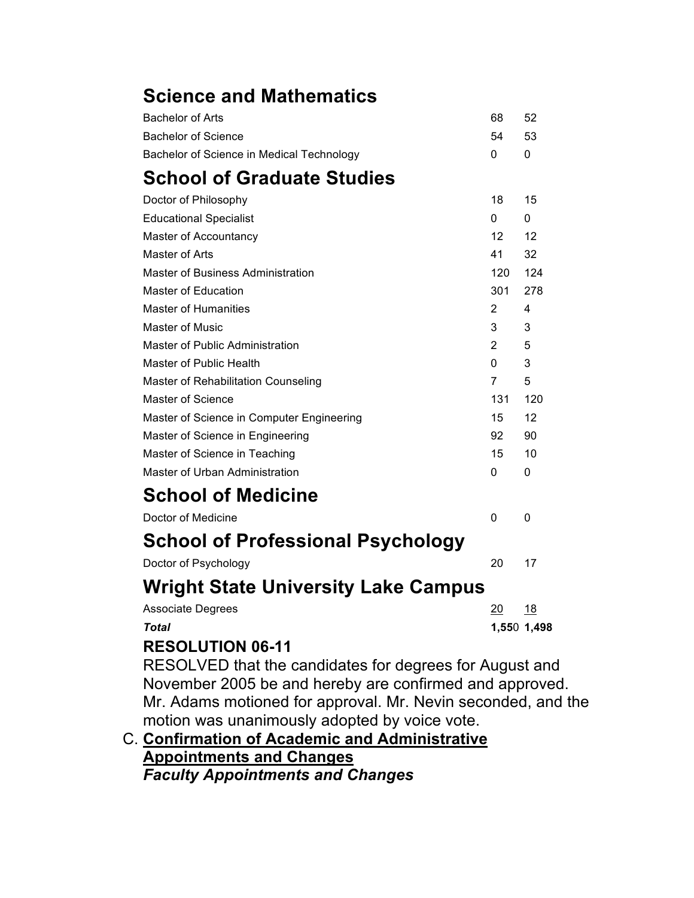# **Science and Mathematics**

| <b>Bachelor of Arts</b>                    | 68              | 52          |
|--------------------------------------------|-----------------|-------------|
| <b>Bachelor of Science</b>                 | 54              | 53          |
| Bachelor of Science in Medical Technology  | 0               | 0           |
| <b>School of Graduate Studies</b>          |                 |             |
| Doctor of Philosophy                       | 18              | 15          |
| <b>Educational Specialist</b>              | 0               | 0           |
| Master of Accountancy                      | 12 <sup>2</sup> | 12          |
| Master of Arts                             | 41              | 32          |
| <b>Master of Business Administration</b>   | 120             | 124         |
| Master of Education                        | 301             | 278         |
| <b>Master of Humanities</b>                | $\overline{2}$  | 4           |
| Master of Music                            | 3               | 3           |
| Master of Public Administration            | 2               | 5           |
| Master of Public Health                    | $\Omega$        | 3           |
| Master of Rehabilitation Counseling        | 7               | 5           |
| <b>Master of Science</b>                   | 131             | 120         |
| Master of Science in Computer Engineering  | 15              | 12          |
| Master of Science in Engineering           | 92              | 90          |
| Master of Science in Teaching              | 15              | 10          |
| Master of Urban Administration             | 0               | 0           |
| <b>School of Medicine</b>                  |                 |             |
| Doctor of Medicine                         | 0               | 0           |
| <b>School of Professional Psychology</b>   |                 |             |
| Doctor of Psychology                       | 20              | 17          |
| <b>Wright State University Lake Campus</b> |                 |             |
| <b>Associate Degrees</b>                   | 20              | <u>18</u>   |
| Total                                      |                 | 1,550 1,498 |
| DECALIITIAN AC <i>11</i>                   |                 |             |

### **RESOLUTION 06-11**

 RESOLVED that the candidates for degrees for August and November 2005 be and hereby are confirmed and approved. Mr. Adams motioned for approval. Mr. Nevin seconded, and the motion was unanimously adopted by voice vote.

 C. **Confirmation of Academic and Administrative Appointments and Changes**  *Faculty Appointments and Changes*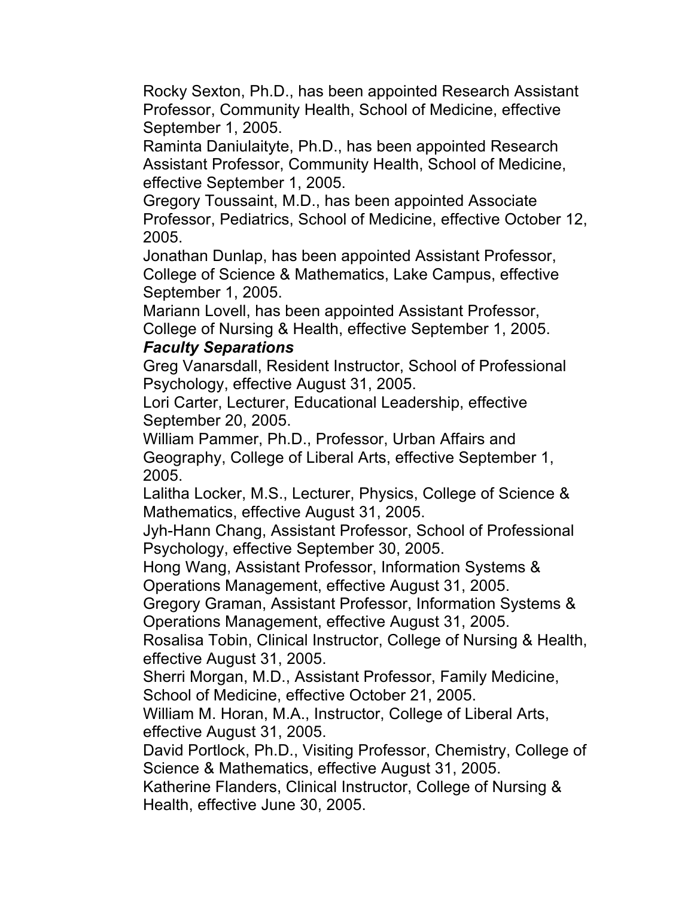Rocky Sexton, Ph.D., has been appointed Research Assistant Professor, Community Health, School of Medicine, effective September 1, 2005.

 Raminta Daniulaityte, Ph.D., has been appointed Research Assistant Professor, Community Health, School of Medicine, effective September 1, 2005.

 Gregory Toussaint, M.D., has been appointed Associate Professor, Pediatrics, School of Medicine, effective October 12, 2005.

 Jonathan Dunlap, has been appointed Assistant Professor, College of Science & Mathematics, Lake Campus, effective September 1, 2005.

 Mariann Lovell, has been appointed Assistant Professor, College of Nursing & Health, effective September 1, 2005.

#### *Faculty Separations*

 Greg Vanarsdall, Resident Instructor, School of Professional Psychology, effective August 31, 2005.

 Lori Carter, Lecturer, Educational Leadership, effective September 20, 2005.

 William Pammer, Ph.D., Professor, Urban Affairs and Geography, College of Liberal Arts, effective September 1, 2005.

 Lalitha Locker, M.S., Lecturer, Physics, College of Science & Mathematics, effective August 31, 2005.

 Jyh-Hann Chang, Assistant Professor, School of Professional Psychology, effective September 30, 2005.

 Hong Wang, Assistant Professor, Information Systems & Operations Management, effective August 31, 2005.

 Gregory Graman, Assistant Professor, Information Systems & Operations Management, effective August 31, 2005.

 Rosalisa Tobin, Clinical Instructor, College of Nursing & Health, effective August 31, 2005.

 Sherri Morgan, M.D., Assistant Professor, Family Medicine, School of Medicine, effective October 21, 2005.

 William M. Horan, M.A., Instructor, College of Liberal Arts, effective August 31, 2005.

 David Portlock, Ph.D., Visiting Professor, Chemistry, College of Science & Mathematics, effective August 31, 2005.

 Katherine Flanders, Clinical Instructor, College of Nursing & Health, effective June 30, 2005.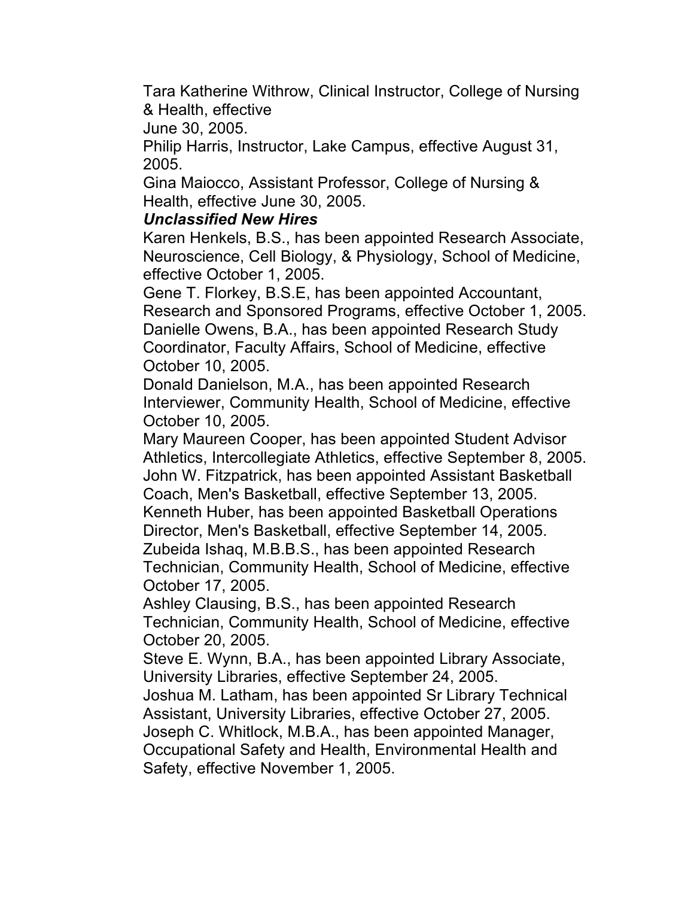Tara Katherine Withrow, Clinical Instructor, College of Nursing & Health, effective

June 30, 2005.

 Philip Harris, Instructor, Lake Campus, effective August 31, 2005.

 Gina Maiocco, Assistant Professor, College of Nursing & Health, effective June 30, 2005.

## *Unclassified New Hires*

 Karen Henkels, B.S., has been appointed Research Associate, Neuroscience, Cell Biology, & Physiology, School of Medicine, effective October 1, 2005.

 Gene T. Florkey, B.S.E, has been appointed Accountant, Research and Sponsored Programs, effective October 1, 2005. Danielle Owens, B.A., has been appointed Research Study Coordinator, Faculty Affairs, School of Medicine, effective October 10, 2005.

 Donald Danielson, M.A., has been appointed Research October 10, 2005. Interviewer, Community Health, School of Medicine, effective

 Mary Maureen Cooper, has been appointed Student Advisor Athletics, Intercollegiate Athletics, effective September 8, 2005. John W. Fitzpatrick, has been appointed Assistant Basketball Coach, Men's Basketball, effective September 13, 2005. Kenneth Huber, has been appointed Basketball Operations Director, Men's Basketball, effective September 14, 2005. Zubeida Ishaq, M.B.B.S., has been appointed Research Technician, Community Health, School of Medicine, effective October 17, 2005.

 Ashley Clausing, B.S., has been appointed Research Technician, Community Health, School of Medicine, effective October 20, 2005.

 Steve E. Wynn, B.A., has been appointed Library Associate, University Libraries, effective September 24, 2005.

 Assistant, University Libraries, effective October 27, 2005. Joseph C. Whitlock, M.B.A., has been appointed Manager, Joshua M. Latham, has been appointed Sr Library Technical

 Occupational Safety and Health, Environmental Health and Safety, effective November 1, 2005.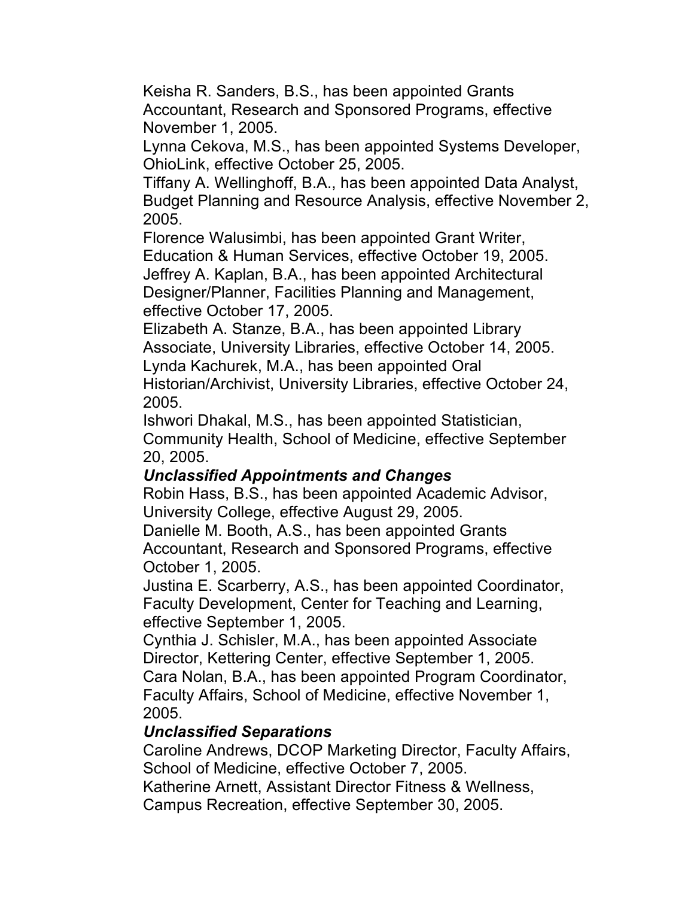Keisha R. Sanders, B.S., has been appointed Grants Accountant, Research and Sponsored Programs, effective November 1, 2005.

 Lynna Cekova, M.S., has been appointed Systems Developer, OhioLink, effective October 25, 2005.

 Tiffany A. Wellinghoff, B.A., has been appointed Data Analyst, Budget Planning and Resource Analysis, effective November 2, 2005.

Florence Walusimbi, has been appointed Grant Writer,

Education & Human Services, effective October 19, 2005.

 Jeffrey A. Kaplan, B.A., has been appointed Architectural Designer/Planner, Facilities Planning and Management, effective October 17, 2005.

 Elizabeth A. Stanze, B.A., has been appointed Library Associate, University Libraries, effective October 14, 2005. Lynda Kachurek, M.A., has been appointed Oral

 Historian/Archivist, University Libraries, effective October 24, 2005.

 Community Health, School of Medicine, effective September Ishwori Dhakal, M.S., has been appointed Statistician, 20, 2005.

## *Unclassified Appointments and Changes*

 Robin Hass, B.S., has been appointed Academic Advisor, University College, effective August 29, 2005.

 Danielle M. Booth, A.S., has been appointed Grants Accountant, Research and Sponsored Programs, effective October 1, 2005.

 Justina E. Scarberry, A.S., has been appointed Coordinator, effective September 1, 2005. Faculty Development, Center for Teaching and Learning,

 Cynthia J. Schisler, M.A., has been appointed Associate Director, Kettering Center, effective September 1, 2005. Cara Nolan, B.A., has been appointed Program Coordinator, Faculty Affairs, School of Medicine, effective November 1, 2005.

### *Unclassified Separations*

 Caroline Andrews, DCOP Marketing Director, Faculty Affairs, School of Medicine, effective October 7, 2005.

 Katherine Arnett, Assistant Director Fitness & Wellness, Campus Recreation, effective September 30, 2005.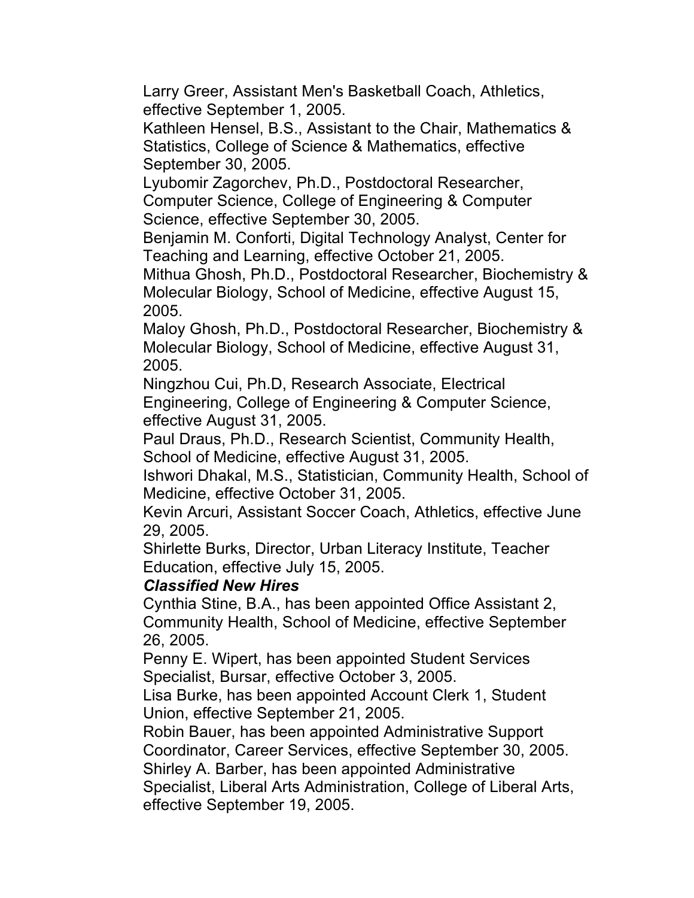Larry Greer, Assistant Men's Basketball Coach, Athletics, effective September 1, 2005.

 Kathleen Hensel, B.S., Assistant to the Chair, Mathematics & Statistics, College of Science & Mathematics, effective September 30, 2005.

 Lyubomir Zagorchev, Ph.D., Postdoctoral Researcher, Computer Science, College of Engineering & Computer Science, effective September 30, 2005.

 Benjamin M. Conforti, Digital Technology Analyst, Center for Teaching and Learning, effective October 21, 2005.

 Mithua Ghosh, Ph.D., Postdoctoral Researcher, Biochemistry & Molecular Biology, School of Medicine, effective August 15, 2005.

 Maloy Ghosh, Ph.D., Postdoctoral Researcher, Biochemistry & Molecular Biology, School of Medicine, effective August 31, 2005.

 Ningzhou Cui, Ph.D, Research Associate, Electrical Engineering, College of Engineering & Computer Science, effective August 31, 2005.

 Paul Draus, Ph.D., Research Scientist, Community Health, School of Medicine, effective August 31, 2005.

 Medicine, effective October 31, 2005. Ishwori Dhakal, M.S., Statistician, Community Health, School of

 Kevin Arcuri, Assistant Soccer Coach, Athletics, effective June 29, 2005.

 Shirlette Burks, Director, Urban Literacy Institute, Teacher Education, effective July 15, 2005.

### *Classified New Hires*

 Cynthia Stine, B.A., has been appointed Office Assistant 2, Community Health, School of Medicine, effective September 26, 2005.

 Penny E. Wipert, has been appointed Student Services Specialist, Bursar, effective October 3, 2005.

 Lisa Burke, has been appointed Account Clerk 1, Student Union, effective September 21, 2005.

 Robin Bauer, has been appointed Administrative Support Coordinator, Career Services, effective September 30, 2005. Shirley A. Barber, has been appointed Administrative Specialist, Liberal Arts Administration, College of Liberal Arts,

effective September 19, 2005.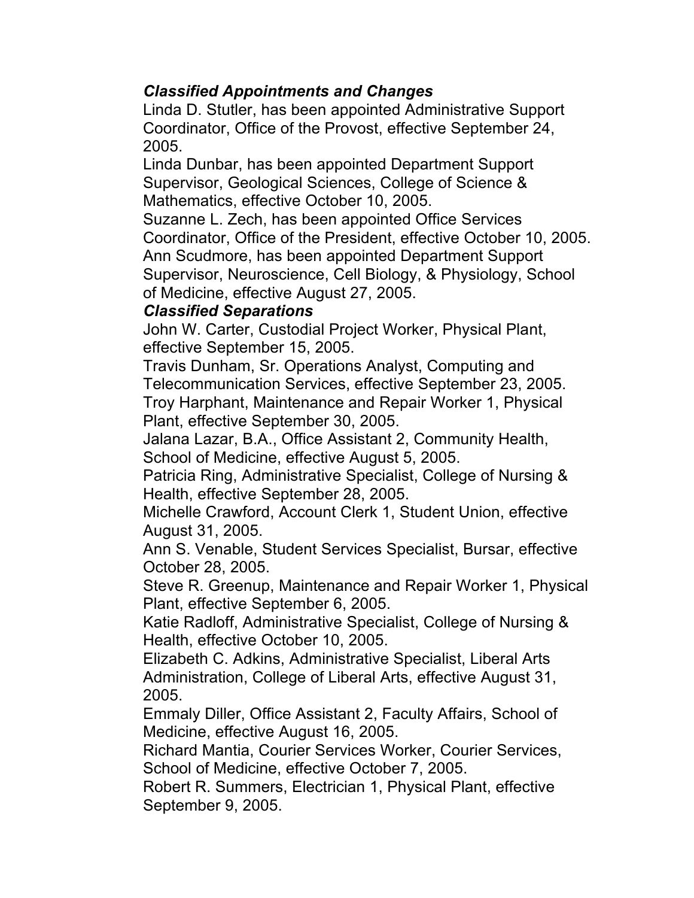## *Classified Appointments and Changes*

 Linda D. Stutler, has been appointed Administrative Support Coordinator, Office of the Provost, effective September 24, 2005.

 Linda Dunbar, has been appointed Department Support Supervisor, Geological Sciences, College of Science & Mathematics, effective October 10, 2005.

 Suzanne L. Zech, has been appointed Office Services Coordinator, Office of the President, effective October 10, 2005. Ann Scudmore, has been appointed Department Support Supervisor, Neuroscience, Cell Biology, & Physiology, School of Medicine, effective August 27, 2005.

#### *Classified Separations*

 John W. Carter, Custodial Project Worker, Physical Plant, effective September 15, 2005.

 Travis Dunham, Sr. Operations Analyst, Computing and Telecommunication Services, effective September 23, 2005. Troy Harphant, Maintenance and Repair Worker 1, Physical Plant, effective September 30, 2005.

 School of Medicine, effective August 5, 2005. Jalana Lazar, B.A., Office Assistant 2, Community Health,

 Patricia Ring, Administrative Specialist, College of Nursing & Health, effective September 28, 2005.

 Michelle Crawford, Account Clerk 1, Student Union, effective August 31, 2005.

 Ann S. Venable, Student Services Specialist, Bursar, effective October 28, 2005.

 Steve R. Greenup, Maintenance and Repair Worker 1, Physical Plant, effective September 6, 2005.

 Katie Radloff, Administrative Specialist, College of Nursing & Health, effective October 10, 2005.

 Elizabeth C. Adkins, Administrative Specialist, Liberal Arts Administration, College of Liberal Arts, effective August 31, 2005.

 Emmaly Diller, Office Assistant 2, Faculty Affairs, School of Medicine, effective August 16, 2005.

 Richard Mantia, Courier Services Worker, Courier Services, School of Medicine, effective October 7, 2005.

 Robert R. Summers, Electrician 1, Physical Plant, effective September 9, 2005.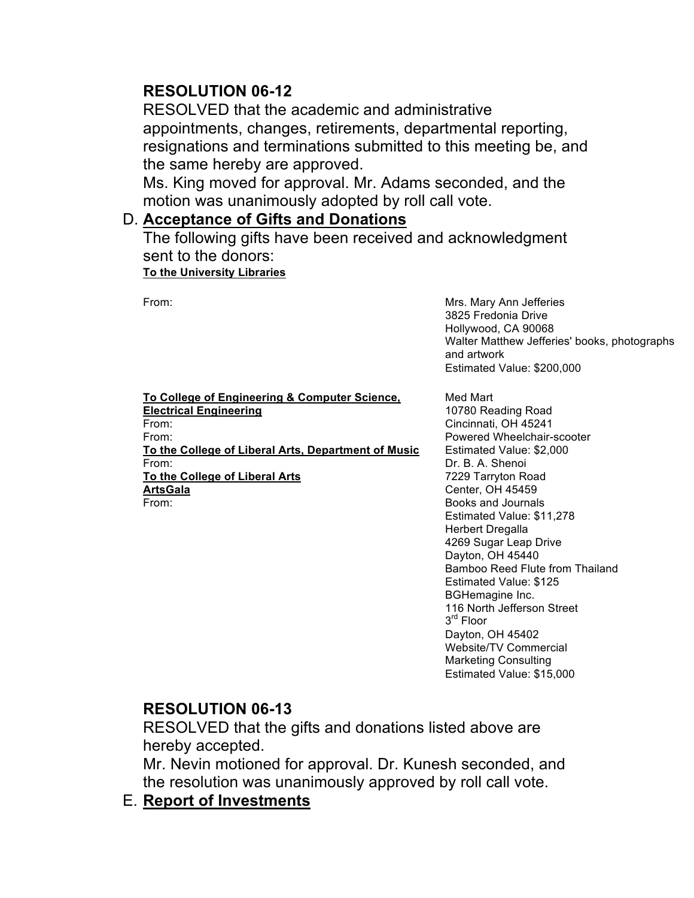## **RESOLUTION 06-12**

 RESOLVED that the academic and administrative appointments, changes, retirements, departmental reporting, resignations and terminations submitted to this meeting be, and the same hereby are approved.

 Ms. King moved for approval. Mr. Adams seconded, and the motion was unanimously adopted by roll call vote.

#### D. **Acceptance of Gifts and Donations**

The following gifts have been received and acknowledgment sent to the donors:

#### **To the University Libraries**

 From: Mrs. Mary Ann Jefferies Hollywood, CA 90068 Walter Matthew Jefferies' books, photographs Estimated Value: \$200,000 3825 Fredonia Drive and artwork

 **To College of Engineering & Computer Science, To the College of Liberal Arts, Department of Music To the College of Liberal Arts Electrical Engineering**  From: From: From: **ArtsGala**  From:

 Estimated Value: \$2,000 Dr. B. A. Shenoi Books and Journals Estimated Value: \$11,278 Bamboo Reed Flute from Thailand Estimated Value: \$125 Estimated Value: \$15,000 Med Mart 10780 Reading Road Cincinnati, OH 45241 Powered Wheelchair-scooter 7229 Tarryton Road Center, OH 45459 Herbert Dregalla 4269 Sugar Leap Drive Dayton, OH 45440 BGHemagine Inc. 116 North Jefferson Street 3<sup>rd</sup> Floor Dayton, OH 45402 Website/TV Commercial Marketing Consulting

#### **RESOLUTION 06-13**

 RESOLVED that the gifts and donations listed above are hereby accepted.

 Mr. Nevin motioned for approval. Dr. Kunesh seconded, and the resolution was unanimously approved by roll call vote.

 E. **Report of Investments**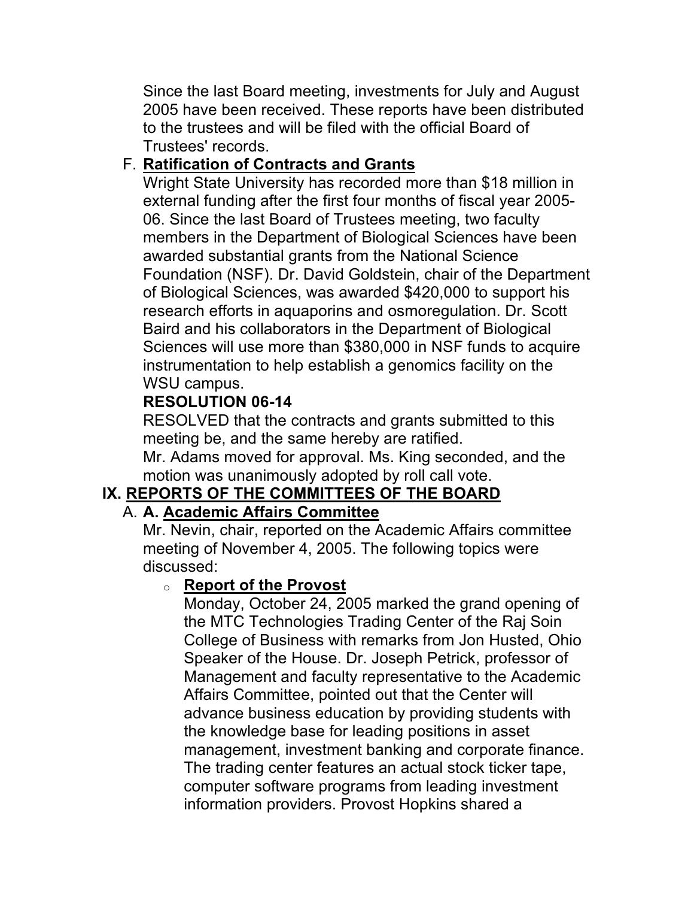Since the last Board meeting, investments for July and August 2005 have been received. These reports have been distributed to the trustees and will be filed with the official Board of Trustees' records.

## F. **Ratification of Contracts and Grants**

 Wright State University has recorded more than \$18 million in external funding after the first four months of fiscal year 2005- 06. Since the last Board of Trustees meeting, two faculty members in the Department of Biological Sciences have been Foundation (NSF). Dr. David Goldstein, chair of the Department of Biological Sciences, was awarded \$420,000 to support his research efforts in aquaporins and osmoregulation. Dr. Scott Baird and his collaborators in the Department of Biological Sciences will use more than \$380,000 in NSF funds to acquire awarded substantial grants from the National Science instrumentation to help establish a genomics facility on the WSU campus.

# **RESOLUTION 06-14**

 RESOLVED that the contracts and grants submitted to this meeting be, and the same hereby are ratified.

 Mr. Adams moved for approval. Ms. King seconded, and the motion was unanimously adopted by roll call vote.

# **IX. REPORTS OF THE COMMITTEES OF THE BOARD**

## A. **A. Academic Affairs Committee**

 Mr. Nevin, chair, reported on the Academic Affairs committee meeting of November 4, 2005. The following topics were discussed:

## o **Report of the Provost**

 Monday, October 24, 2005 marked the grand opening of College of Business with remarks from Jon Husted, Ohio Speaker of the House. Dr. Joseph Petrick, professor of Management and faculty representative to the Academic Affairs Committee, pointed out that the Center will management, investment banking and corporate finance. The trading center features an actual stock ticker tape, the MTC Technologies Trading Center of the Raj Soin advance business education by providing students with the knowledge base for leading positions in asset computer software programs from leading investment information providers. Provost Hopkins shared a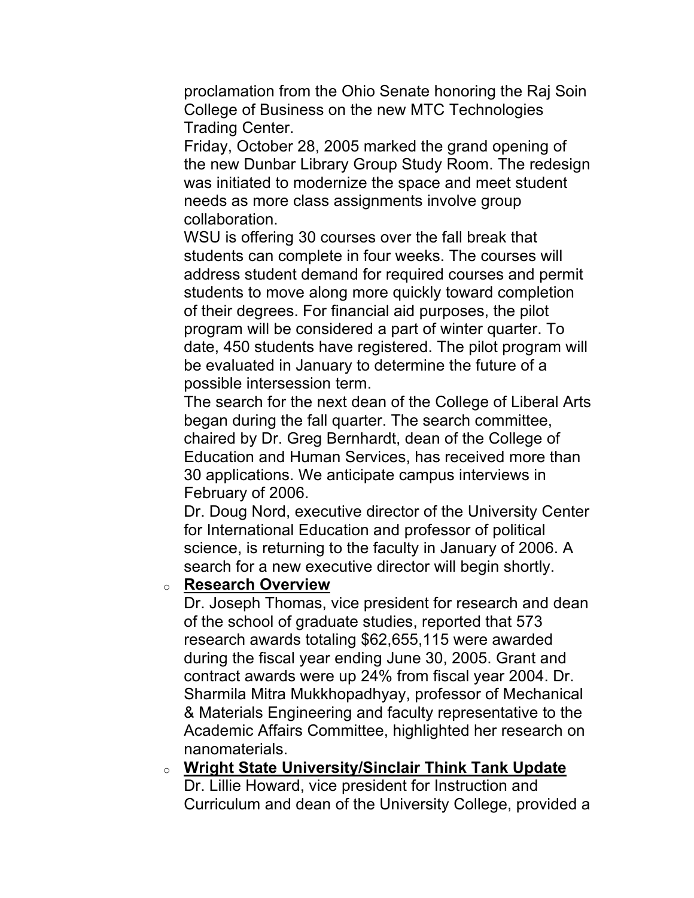College of Business on the new MTC Technologies proclamation from the Ohio Senate honoring the Raj Soin Trading Center.

 Friday, October 28, 2005 marked the grand opening of was initiated to modernize the space and meet student the new Dunbar Library Group Study Room. The redesign needs as more class assignments involve group collaboration.

 WSU is offering 30 courses over the fall break that students can complete in four weeks. The courses will of their degrees. For financial aid purposes, the pilot program will be considered a part of winter quarter. To date, 450 students have registered. The pilot program will address student demand for required courses and permit students to move along more quickly toward completion be evaluated in January to determine the future of a possible intersession term.

 The search for the next dean of the College of Liberal Arts began during the fall quarter. The search committee, chaired by Dr. Greg Bernhardt, dean of the College of Education and Human Services, has received more than 30 applications. We anticipate campus interviews in February of 2006.

 Dr. Doug Nord, executive director of the University Center science, is returning to the faculty in January of 2006. A search for a new executive director will begin shortly. for International Education and professor of political

#### o **Research Overview**

 Dr. Joseph Thomas, vice president for research and dean of the school of graduate studies, reported that 573 research awards totaling \$62,655,115 were awarded during the fiscal year ending June 30, 2005. Grant and contract awards were up 24% from fiscal year 2004. Dr. Sharmila Mitra Mukkhopadhyay, professor of Mechanical & Materials Engineering and faculty representative to the Academic Affairs Committee, highlighted her research on nanomaterials.

 o **Wright State University/Sinclair Think Tank Update**  Dr. Lillie Howard, vice president for Instruction and Curriculum and dean of the University College, provided a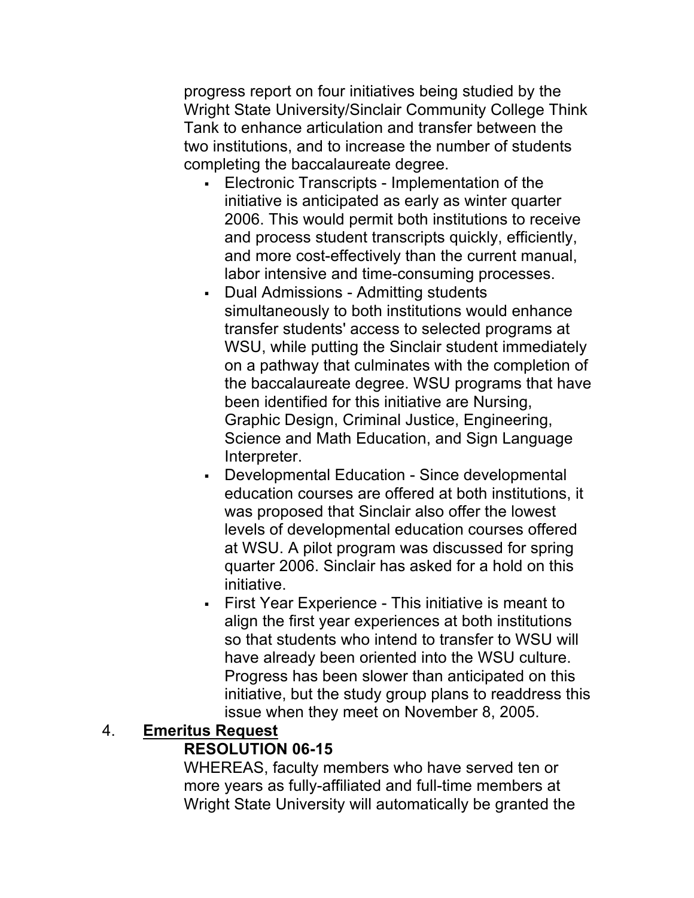progress report on four initiatives being studied by the Wright State University/Sinclair Community College Think Tank to enhance articulation and transfer between the two institutions, and to increase the number of students completing the baccalaureate degree.

- • Electronic Transcripts Implementation of the initiative is anticipated as early as winter quarter and process student transcripts quickly, efficiently, and more cost-effectively than the current manual, 2006. This would permit both institutions to receive labor intensive and time-consuming processes.
- WSU, while putting the Sinclair student immediately Graphic Design, Criminal Justice, Engineering, Science and Math Education, and Sign Language • Dual Admissions - Admitting students simultaneously to both institutions would enhance transfer students' access to selected programs at on a pathway that culminates with the completion of the baccalaureate degree. WSU programs that have been identified for this initiative are Nursing, Interpreter.
- • Developmental Education Since developmental was proposed that Sinclair also offer the lowest at WSU. A pilot program was discussed for spring quarter 2006. Sinclair has asked for a hold on this education courses are offered at both institutions, it levels of developmental education courses offered initiative.
- • First Year Experience This initiative is meant to align the first year experiences at both institutions so that students who intend to transfer to WSU will have already been oriented into the WSU culture. Progress has been slower than anticipated on this initiative, but the study group plans to readdress this issue when they meet on November 8, 2005.

#### 4. **Emeritus Request RESOLUTION 06-15**

 WHEREAS, faculty members who have served ten or more years as fully-affiliated and full-time members at Wright State University will automatically be granted the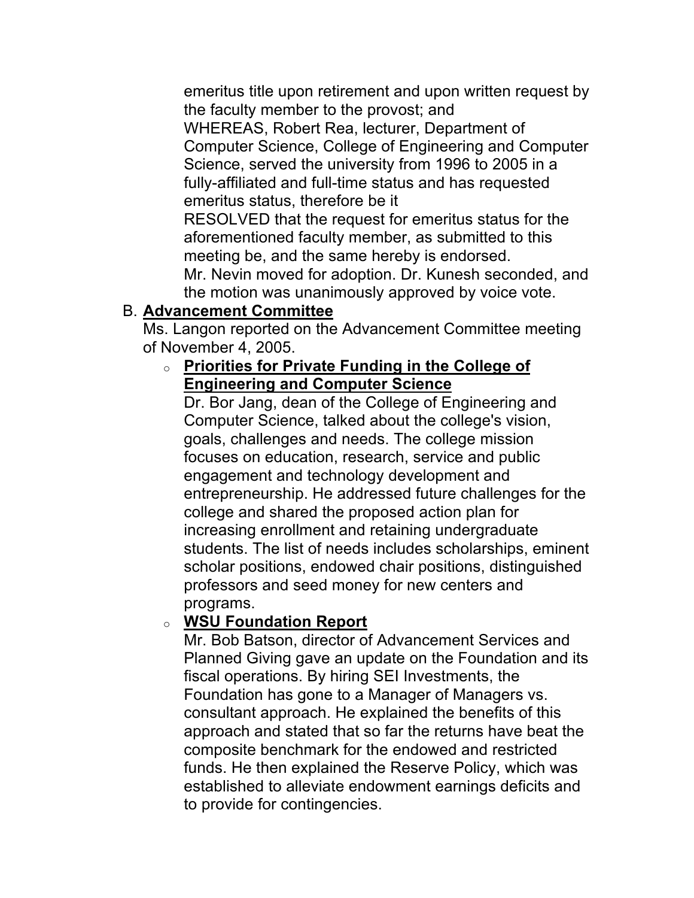emeritus title upon retirement and upon written request by the faculty member to the provost; and

 WHEREAS, Robert Rea, lecturer, Department of Computer Science, College of Engineering and Computer Science, served the university from 1996 to 2005 in a fully-affiliated and full-time status and has requested emeritus status, therefore be it

 RESOLVED that the request for emeritus status for the meeting be, and the same hereby is endorsed. aforementioned faculty member, as submitted to this

 Mr. Nevin moved for adoption. Dr. Kunesh seconded, and the motion was unanimously approved by voice vote.

## B. **Advancement Committee**

 Ms. Langon reported on the Advancement Committee meeting of November 4, 2005.

## o **Priorities for Private Funding in the College of Engineering and Computer Science**

 Dr. Bor Jang, dean of the College of Engineering and Computer Science, talked about the college's vision, students. The list of needs includes scholarships, eminent scholar positions, endowed chair positions, distinguished professors and seed money for new centers and goals, challenges and needs. The college mission focuses on education, research, service and public engagement and technology development and entrepreneurship. He addressed future challenges for the college and shared the proposed action plan for increasing enrollment and retaining undergraduate programs.

## o **WSU Foundation Report**

 Mr. Bob Batson, director of Advancement Services and Planned Giving gave an update on the Foundation and its Foundation has gone to a Manager of Managers vs. consultant approach. He explained the benefits of this approach and stated that so far the returns have beat the fiscal operations. By hiring SEI Investments, the composite benchmark for the endowed and restricted funds. He then explained the Reserve Policy, which was established to alleviate endowment earnings deficits and to provide for contingencies.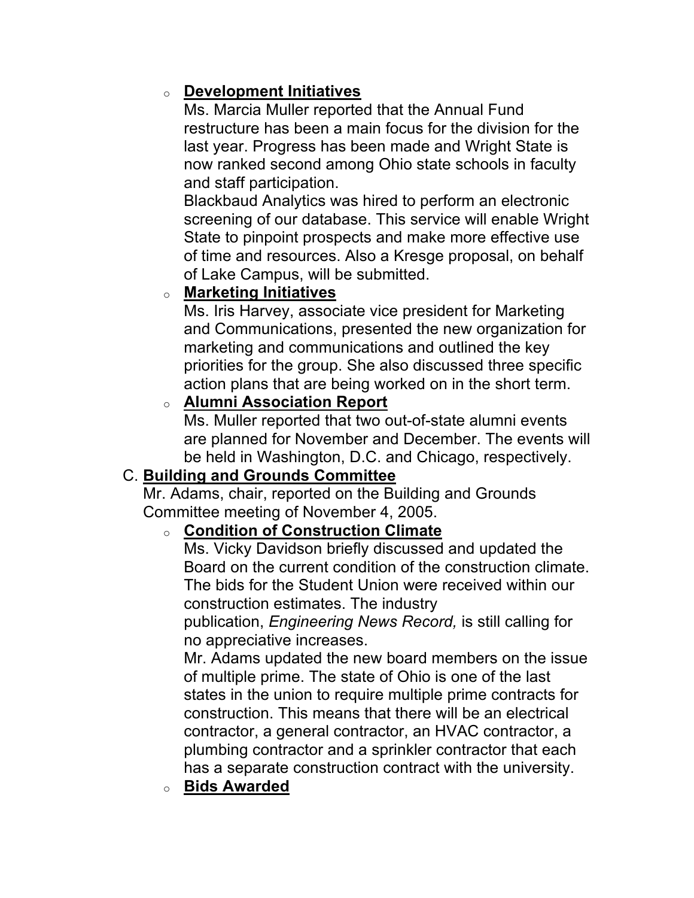## o **Development Initiatives**

 Ms. Marcia Muller reported that the Annual Fund restructure has been a main focus for the division for the last year. Progress has been made and Wright State is now ranked second among Ohio state schools in faculty and staff participation.

 Blackbaud Analytics was hired to perform an electronic screening of our database. This service will enable Wright State to pinpoint prospects and make more effective use of Lake Campus, will be submitted. of time and resources. Also a Kresge proposal, on behalf

## o **Marketing Initiatives**

 Ms. Iris Harvey, associate vice president for Marketing marketing and communications and outlined the key priorities for the group. She also discussed three specific and Communications, presented the new organization for action plans that are being worked on in the short term.

### o **Alumni Association Report**

 Ms. Muller reported that two out-of-state alumni events are planned for November and December. The events will be held in Washington, D.C. and Chicago, respectively.

## C. **Building and Grounds Committee**

 Mr. Adams, chair, reported on the Building and Grounds Committee meeting of November 4, 2005.

## o **Condition of Construction Climate**

 Ms. Vicky Davidson briefly discussed and updated the Board on the current condition of the construction climate. The bids for the Student Union were received within our construction estimates. The industry

 publication, *Engineering News Record,* is still calling for no appreciative increases.

 Mr. Adams updated the new board members on the issue of multiple prime. The state of Ohio is one of the last construction. This means that there will be an electrical contractor, a general contractor, an HVAC contractor, a states in the union to require multiple prime contracts for plumbing contractor and a sprinkler contractor that each has a separate construction contract with the university.

o **Bids Awarded**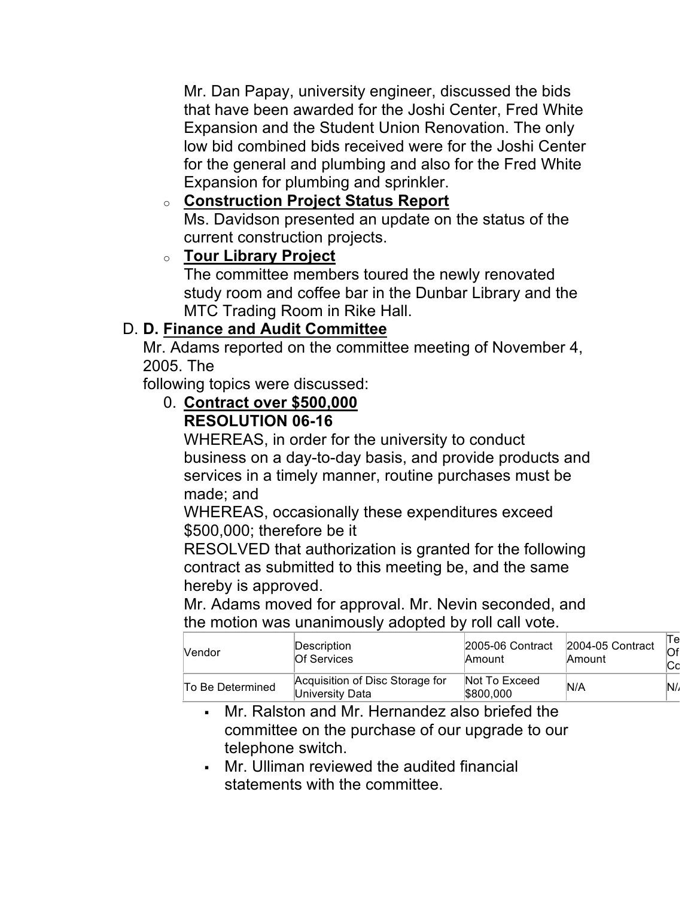Mr. Dan Papay, university engineer, discussed the bids Expansion and the Student Union Renovation. The only Expansion for plumbing and sprinkler. that have been awarded for the Joshi Center, Fred White low bid combined bids received were for the Joshi Center for the general and plumbing and also for the Fred White

# o **Construction Project Status Report**

 Ms. Davidson presented an update on the status of the current construction projects.

# o **Tour Library Project**

 study room and coffee bar in the Dunbar Library and the MTC Trading Room in Rike Hall. The committee members toured the newly renovated

# D. **D. Finance and Audit Committee**

 Mr. Adams reported on the committee meeting of November 4, 2005. The

following topics were discussed:

#### 0. **Contract over \$500,000 RESOLUTION 06-16**

 WHEREAS, in order for the university to conduct services in a timely manner, routine purchases must be business on a day-to-day basis, and provide products and made; and

 WHEREAS, occasionally these expenditures exceed \$500,000; therefore be it

 RESOLVED that authorization is granted for the following contract as submitted to this meeting be, and the same hereby is approved.

 Mr. Adams moved for approval. Mr. Nevin seconded, and the motion was unanimously adopted by roll call vote.

| Vendor           | Description                                        | 2005-06 Contract           | 2004-05 Contract | Of  |
|------------------|----------------------------------------------------|----------------------------|------------------|-----|
|                  | Of Services                                        | Amount                     | Amount           | IСс |
| To Be Determined | Acquisition of Disc Storage for<br>University Data | Not To Exceed<br>\$800.000 | N/A              | N   |

- • Mr. Ralston and Mr. Hernandez also briefed the committee on the purchase of our upgrade to our telephone switch.
- • Mr. Ulliman reviewed the audited financial statements with the committee.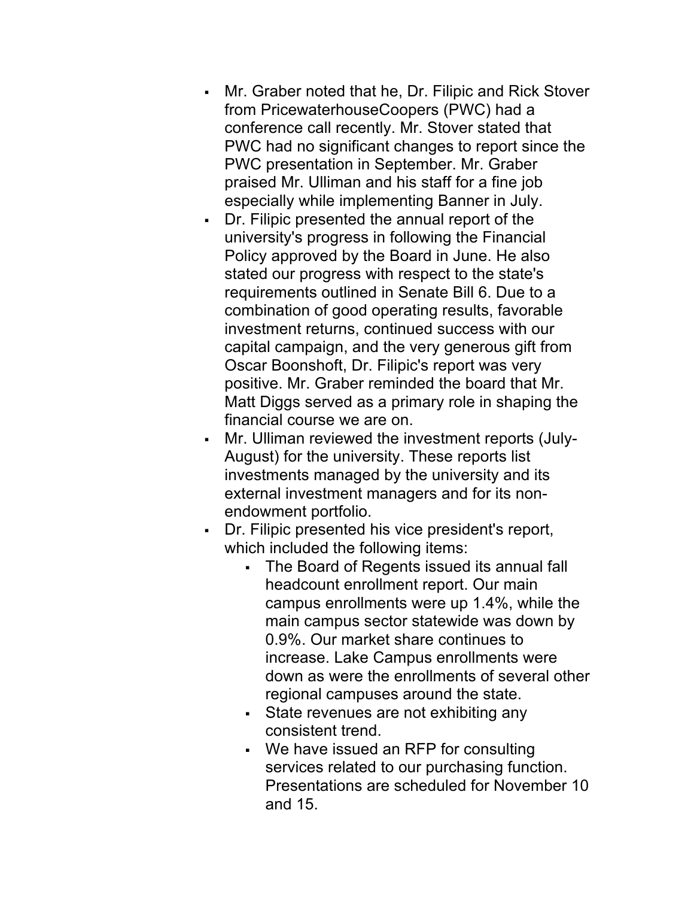- • Mr. Graber noted that he, Dr. Filipic and Rick Stover conference call recently. Mr. Stover stated that PWC had no significant changes to report since the PWC presentation in September. Mr. Graber praised Mr. Ulliman and his staff for a fine job from PricewaterhouseCoopers (PWC) had a especially while implementing Banner in July.
- • Dr. Filipic presented the annual report of the requirements outlined in Senate Bill 6. Due to a capital campaign, and the very generous gift from Oscar Boonshoft, Dr. Filipic's report was very positive. Mr. Graber reminded the board that Mr. Matt Diggs served as a primary role in shaping the university's progress in following the Financial Policy approved by the Board in June. He also stated our progress with respect to the state's combination of good operating results, favorable investment returns, continued success with our financial course we are on.
- • Mr. Ulliman reviewed the investment reports (July- external investment managers and for its non-August) for the university. These reports list investments managed by the university and its endowment portfolio.
- • Dr. Filipic presented his vice president's report, which included the following items:
	- • The Board of Regents issued its annual fall headcount enrollment report. Our main main campus sector statewide was down by 0.9%. Our market share continues to down as were the enrollments of several other regional campuses around the state. campus enrollments were up 1.4%, while the increase. Lake Campus enrollments were
	- • State revenues are not exhibiting any consistent trend.
	- • We have issued an RFP for consulting Presentations are scheduled for November 10 services related to our purchasing function. and 15.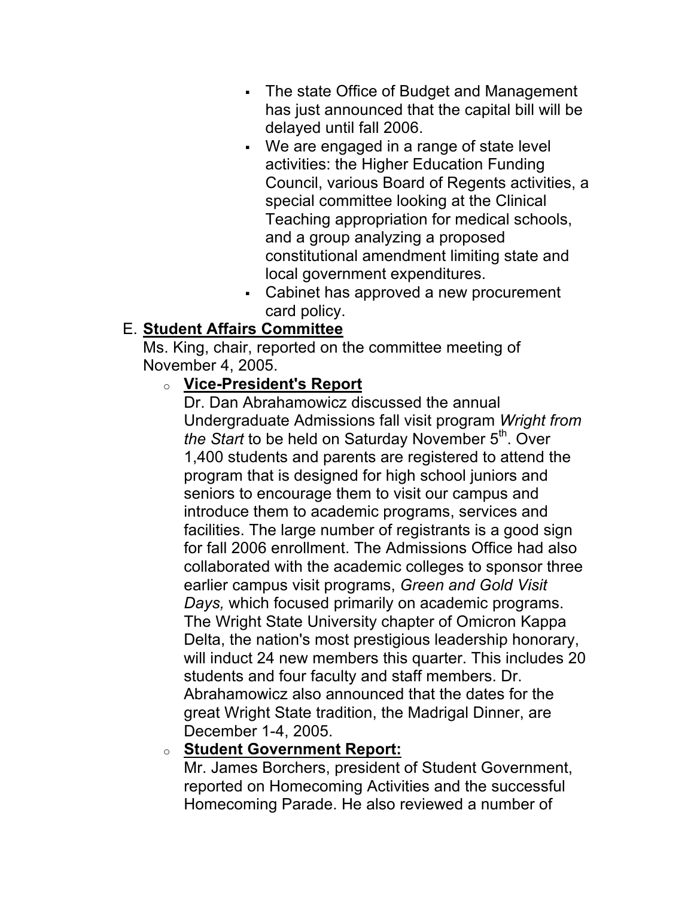- • The state Office of Budget and Management has just announced that the capital bill will be delayed until fall 2006.
- • We are engaged in a range of state level activities: the Higher Education Funding Council, various Board of Regents activities, a special committee looking at the Clinical Teaching appropriation for medical schools, and a group analyzing a proposed constitutional amendment limiting state and local government expenditures.
- • Cabinet has approved a new procurement card policy.

# E. **Student Affairs Committee**

 Ms. King, chair, reported on the committee meeting of November 4, 2005.

## o **Vice-President's Report**

 Dr. Dan Abrahamowicz discussed the annual Undergraduate Admissions fall visit program *Wright from*  program that is designed for high school juniors and seniors to encourage them to visit our campus and  earlier campus visit programs, *Green and Gold Visit Days,* which focused primarily on academic programs. Delta, the nation's most prestigious leadership honorary, will induct 24 new members this quarter. This includes 20 students and four faculty and staff members. Dr. Abrahamowicz also announced that the dates for the great Wright State tradition, the Madrigal Dinner, are *the Start* to be held on Saturday November 5<sup>th</sup>. Over 1,400 students and parents are registered to attend the introduce them to academic programs, services and facilities. The large number of registrants is a good sign for fall 2006 enrollment. The Admissions Office had also collaborated with the academic colleges to sponsor three The Wright State University chapter of Omicron Kappa December 1-4, 2005.

### o **Student Government Report:**

 Mr. James Borchers, president of Student Government, reported on Homecoming Activities and the successful Homecoming Parade. He also reviewed a number of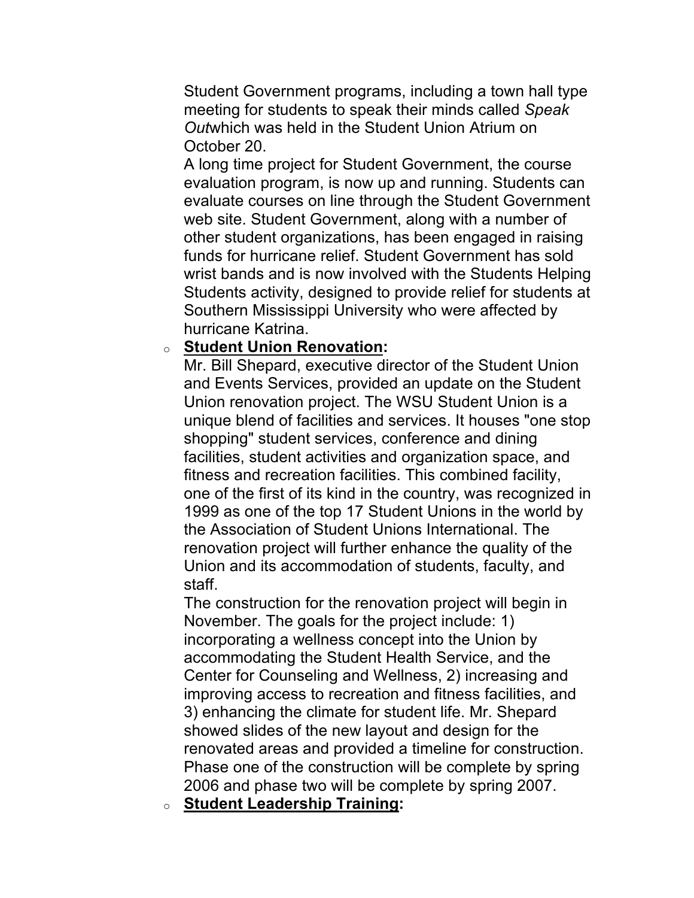meeting for students to speak their minds called *Speak Out*which was held in the Student Union Atrium on Student Government programs, including a town hall type October 20.

 A long time project for Student Government, the course evaluation program, is now up and running. Students can web site. Student Government, along with a number of other student organizations, has been engaged in raising wrist bands and is now involved with the Students Helping Students activity, designed to provide relief for students at Southern Mississippi University who were affected by evaluate courses on line through the Student Government funds for hurricane relief. Student Government has sold hurricane Katrina.

#### o **Student Union Renovation:**

 Mr. Bill Shepard, executive director of the Student Union Union renovation project. The WSU Student Union is a unique blend of facilities and services. It houses "one stop shopping" student services, conference and dining one of the first of its kind in the country, was recognized in renovation project will further enhance the quality of the Union and its accommodation of students, faculty, and and Events Services, provided an update on the Student facilities, student activities and organization space, and fitness and recreation facilities. This combined facility, 1999 as one of the top 17 Student Unions in the world by the Association of Student Unions International. The staff.

 The construction for the renovation project will begin in November. The goals for the project include: 1) Center for Counseling and Wellness, 2) increasing and 3) enhancing the climate for student life. Mr. Shepard showed slides of the new layout and design for the renovated areas and provided a timeline for construction. Phase one of the construction will be complete by spring incorporating a wellness concept into the Union by accommodating the Student Health Service, and the improving access to recreation and fitness facilities, and 2006 and phase two will be complete by spring 2007.

o **Student Leadership Training:**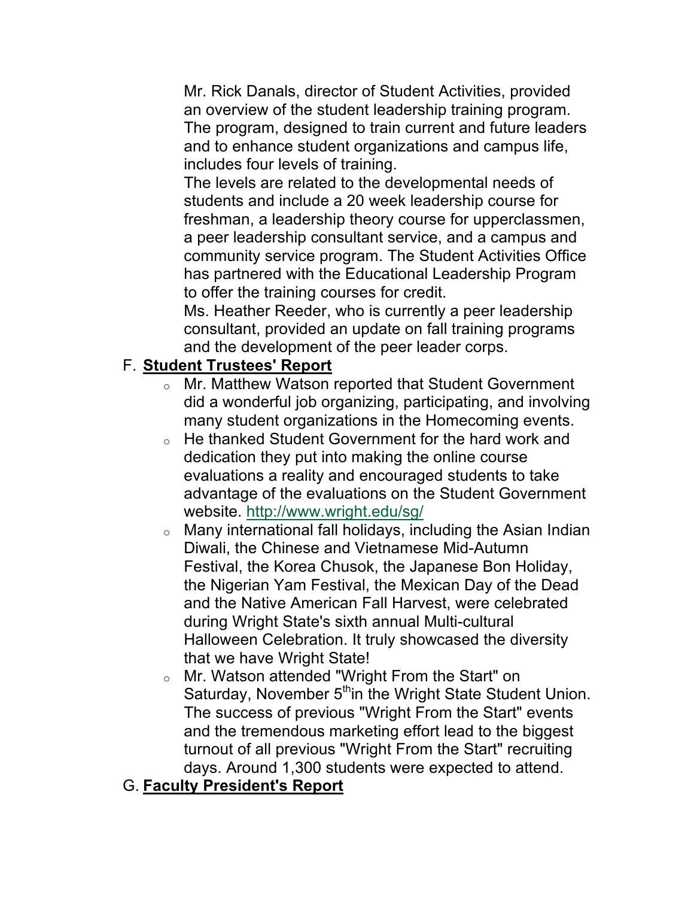Mr. Rick Danals, director of Student Activities, provided an overview of the student leadership training program. The program, designed to train current and future leaders and to enhance student organizations and campus life, includes four levels of training.

 a peer leadership consultant service, and a campus and The levels are related to the developmental needs of students and include a 20 week leadership course for freshman, a leadership theory course for upperclassmen, community service program. The Student Activities Office has partnered with the Educational Leadership Program to offer the training courses for credit.

 Ms. Heather Reeder, who is currently a peer leadership and the development of the peer leader corps. consultant, provided an update on fall training programs

## F. **Student Trustees' Report**

- $\circ$  Mr. Matthew Watson reported that Student Government many student organizations in the Homecoming events. did a wonderful job organizing, participating, and involving
- $\circ$  He thanked Student Government for the hard work and dedication they put into making the online course evaluations a reality and encouraged students to take advantage of the evaluations on the Student Government website. [http://www.wright.edu/sg/](http://www.wright.edu/sg)
- $\circ$  Many international fall holidays, including the Asian Indian Diwali, the Chinese and Vietnamese Mid-Autumn and the Native American Fall Harvest, were celebrated Halloween Celebration. It truly showcased the diversity Festival, the Korea Chusok, the Japanese Bon Holiday, the Nigerian Yam Festival, the Mexican Day of the Dead during Wright State's sixth annual Multi-cultural that we have Wright State!
- $\circ$  Mr. Watson attended "Wright From the Start" on Saturday, November 5<sup>th</sup>in the Wright State Student Union. The success of previous "Wright From the Start" events and the tremendous marketing effort lead to the biggest turnout of all previous "Wright From the Start" recruiting days. Around 1,300 students were expected to attend.

## G. **Faculty President's Report**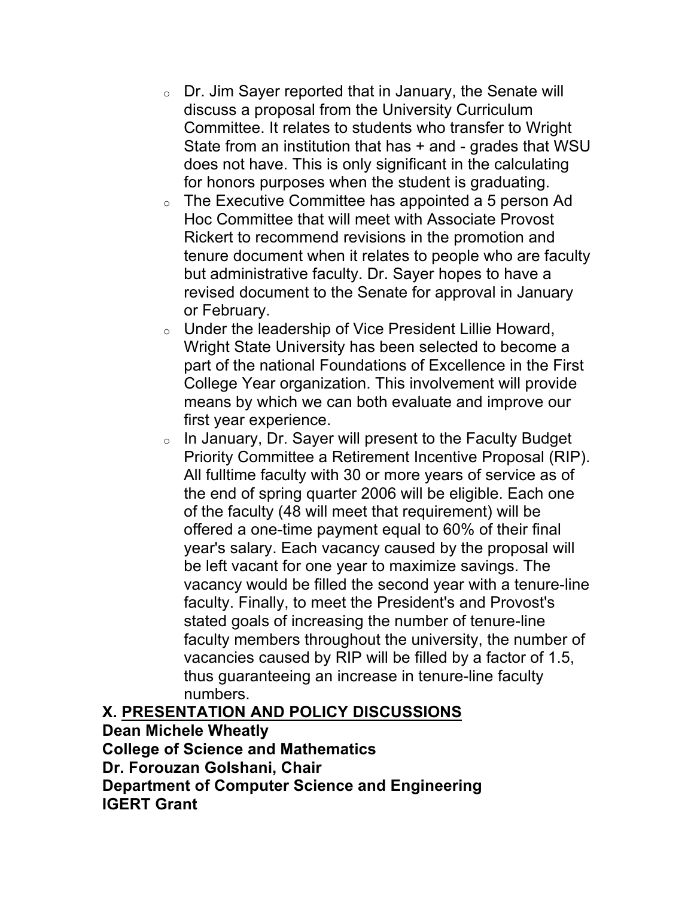- $\circ$  Dr. Jim Sayer reported that in January, the Senate will discuss a proposal from the University Curriculum Committee. It relates to students who transfer to Wright State from an institution that has + and - grades that WSU does not have. This is only significant in the calculating for honors purposes when the student is graduating.
- Hoc Committee that will meet with Associate Provost Rickert to recommend revisions in the promotion and but administrative faculty. Dr. Sayer hopes to have a revised document to the Senate for approval in January o The Executive Committee has appointed a 5 person Ad tenure document when it relates to people who are faculty or February.
- $\circ$  Under the leadership of Vice President Lillie Howard, Wright State University has been selected to become a part of the national Foundations of Excellence in the First College Year organization. This involvement will provide means by which we can both evaluate and improve our first year experience.
- Priority Committee a Retirement Incentive Proposal (RIP). All fulltime faculty with 30 or more years of service as of of the faculty (48 will meet that requirement) will be offered a one-time payment equal to 60% of their final year's salary. Each vacancy caused by the proposal will be left vacant for one year to maximize savings. The stated goals of increasing the number of tenure-line vacancies caused by RIP will be filled by a factor of 1.5, o In January, Dr. Sayer will present to the Faculty Budget the end of spring quarter 2006 will be eligible. Each one vacancy would be filled the second year with a tenure-line faculty. Finally, to meet the President's and Provost's faculty members throughout the university, the number of thus guaranteeing an increase in tenure-line faculty numbers.

## **X. PRESENTATION AND POLICY DISCUSSIONS**

#### **Dean Michele Wheatly College of Science and Mathematics**

 **Dr. Forouzan Golshani, Chair** 

 **Department of Computer Science and Engineering IGERT Grant**